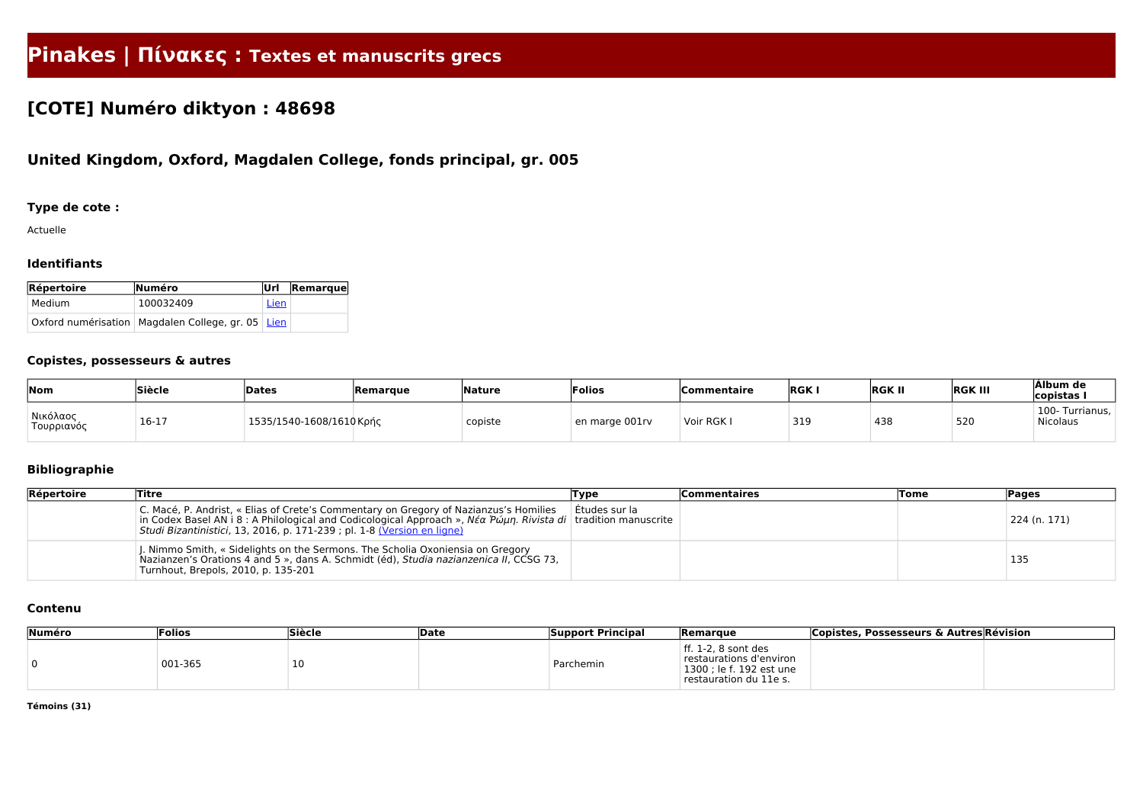# **Pinakes | Πίνακες : Textes et manuscrits grecs**

## **[COTE] Numéro diktyon : 48698**

## **United Kingdom, Oxford, Magdalen College, fonds principal, gr. 005**

#### **Type de cote :**

Actuelle

#### **Identifiants**

| Répertoire | Numéro                                                | lUrl l | <b>Remarque</b> |
|------------|-------------------------------------------------------|--------|-----------------|
| Medium     | 100032409                                             | Lien   |                 |
|            | Oxford numérisation   Magdalen College, gr. 05   Lien |        |                 |

#### **Copistes, possesseurs & autres**

| Nom                                 | Siècle | Dates                    | Remarque | Nature  | 'Folios        | <b>Commentaire</b> | <b>RGK</b> | <b>RGK II</b> | <b>RGK III</b> | Álbum de<br>copistas I      |
|-------------------------------------|--------|--------------------------|----------|---------|----------------|--------------------|------------|---------------|----------------|-----------------------------|
| <sup>'</sup> Νικόλαος<br>Τουρριανός | 16-17  | 1535/1540-1608/1610 Κρής |          | copiste | en marge 001rv | Voir RGK I         | 319        | 438           | 520            | 100- Turrianus,<br>Nicolaus |

### **Bibliographie**

| Répertoire | <b>Titre</b>                                                                                                                                                                                                                                                                                                                     | Type          | <b>Commentaires</b> | <b>Tome</b> | Pages        |
|------------|----------------------------------------------------------------------------------------------------------------------------------------------------------------------------------------------------------------------------------------------------------------------------------------------------------------------------------|---------------|---------------------|-------------|--------------|
|            | C. Macé, P. Andrist, « Elias of Crete's Commentary on Gregory of Nazianzus's Homilies<br>in Codex Basel AN i 8 : A Philological and Codicological Approach », $N\acute{\epsilon}\alpha$ P $\acute{\omega}\mu\eta$ . Rivista di   tradition manuscrite<br>Studi Bizantinistici, 13, 2016, p. 171-239 ; pl. 1-8 (Version en ligne) | Etudes sur la |                     |             | 224 (n. 171) |
|            | J. Nimmo Smith, « Sidelights on the Sermons. The Scholia Oxoniensia on Gregory<br>Nazianzen's Orations 4 and 5 », dans A. Schmidt (éd), Studia nazianzenica II, CCSG 73,<br>Turnhout, Brepols, 2010, p. 135-201                                                                                                                  |               |                     |             | 135          |

#### **Contenu**

| Numéro | <b>Folios</b> | Siècle | Date | <b>Support Principal</b> | <b>Remarque</b>                                                                                      | <b>Copistes, Possesseurs &amp; Autres Révision</b> |
|--------|---------------|--------|------|--------------------------|------------------------------------------------------------------------------------------------------|----------------------------------------------------|
|        | 001-365       | 10     |      | Parchemin                | ff. 1-2, 8 sont des<br>restaurations d'environ<br>1300 ; le f. 192 est une<br>restauration du 11e s. |                                                    |

**Témoins (31)**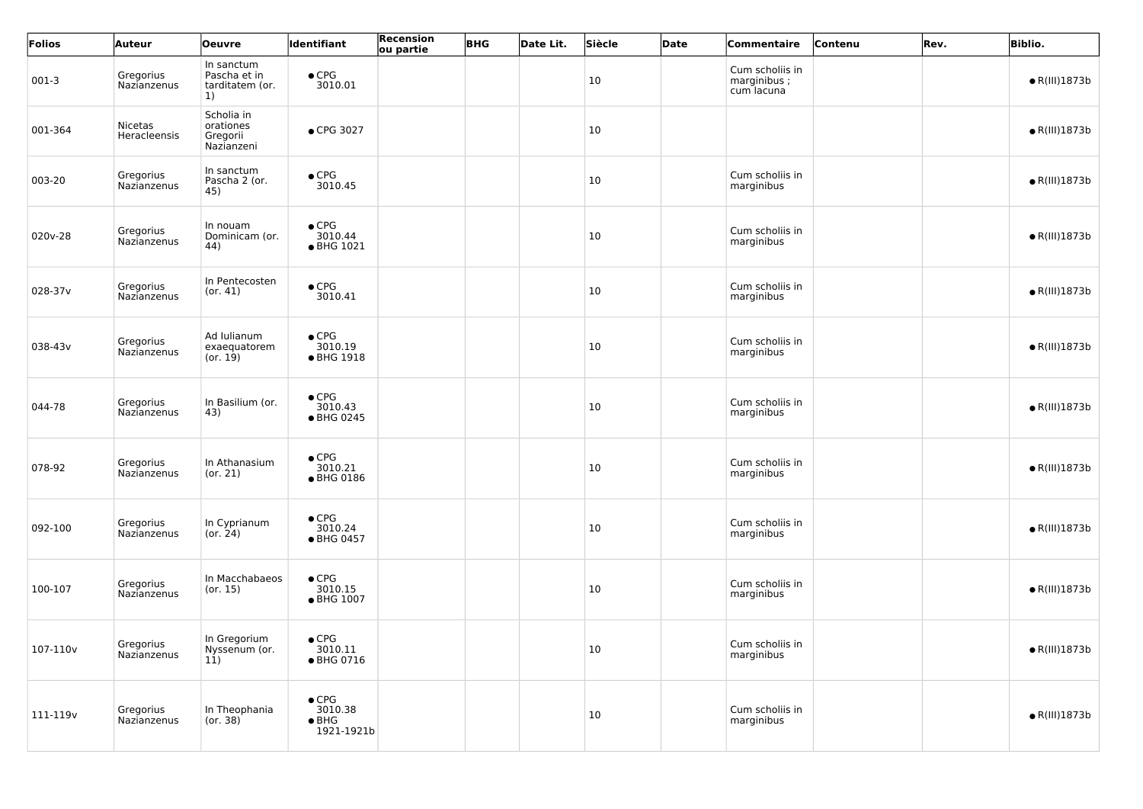| Folios   | <b>Auteur</b>                  | <b>Oeuvre</b>                                                 | Identifiant                                             | <b>Recension</b><br>ou partie | <b>BHG</b> | Date Lit. | Siècle | <b>Date</b> | Commentaire                                  | Contenu | Rev. | <b>Biblio.</b>        |
|----------|--------------------------------|---------------------------------------------------------------|---------------------------------------------------------|-------------------------------|------------|-----------|--------|-------------|----------------------------------------------|---------|------|-----------------------|
| $001-3$  | Gregorius<br>Nazianzenus       | In sanctum<br>Pascha et in<br>tarditatem (or.<br><sup>1</sup> | $\bullet$ CPG<br>3010.01                                |                               |            |           | 10     |             | Cum scholiis in<br>marginibus;<br>cum lacuna |         |      | $\bullet$ R(III)1873b |
| 001-364  | <b>Nicetas</b><br>Heracleensis | Scholia in<br>orationes<br>Gregorii<br>Nazianzeni             | ● CPG 3027                                              |                               |            |           | 10     |             |                                              |         |      | $\bullet$ R(III)1873b |
| 003-20   | Gregorius<br>Nazianzenus       | In sanctum<br>Pascha 2 (or.<br>45)                            | $\bullet$ CPG<br>3010.45                                |                               |            |           | 10     |             | Cum scholiis in<br>marginibus                |         |      | $\bullet$ R(III)1873b |
| 020v-28  | Gregorius<br>Nazianzenus       | In nouam<br>Dominicam (or.<br>44)                             | $\bullet$ CPG<br>3010.44<br>• BHG 1021                  |                               |            |           | 10     |             | Cum scholiis in<br>marginibus                |         |      | $\bullet$ R(III)1873b |
| 028-37v  | Gregorius<br>Nazianzenus       | In Pentecosten<br>(or. 41)                                    | $\bullet$ CPG<br>3010.41                                |                               |            |           | 10     |             | Cum scholiis in<br>marginibus                |         |      | $\bullet$ R(III)1873b |
| 038-43v  | Gregorius<br>Nazianzenus       | Ad Iulianum<br>exaequatorem<br>(or. 19)                       | $\bullet$ CPG<br>3010.19<br>● BHG 1918                  |                               |            |           | 10     |             | Cum scholiis in<br>marginibus                |         |      | $\bullet$ R(III)1873b |
| 044-78   | Gregorius<br>Nazianzenus       | In Basilium (or.<br>43)                                       | $\bullet$ CPG<br>3010.43<br>● BHG 0245                  |                               |            |           | 10     |             | Cum scholiis in<br>marginibus                |         |      | $\bullet$ R(III)1873b |
| 078-92   | Nazianzenus                    | Gregorius   In Athanasium<br>(or. 21)                         | $\bullet$ CPG<br>3010.21<br>● BHG 0186                  |                               |            |           | 10     |             | Cum scholiis in<br>marginibus                |         |      | $\bullet$ R(III)1873b |
| 092-100  | Gregorius<br>Nazianzenus       | In Cyprianum<br>(or. 24)                                      | $\bullet$ CPG<br>3010.24<br>• BHG 0457                  |                               |            |           | 10     |             | Cum scholiis in<br>marginibus                |         |      | $\bullet$ R(III)1873b |
| 100-107  | Gregorius<br>Nazianzenus       | In Macchabaeos<br>(or. 15)                                    | $\bullet$ CPG<br>3010.15<br>● BHG 1007                  |                               |            |           | 10     |             | Cum scholiis in<br>marginibus                |         |      | $\bullet$ R(III)1873b |
| 107-110v | Gregorius<br>Nazianzenus       | In Gregorium<br>Nyssenum (or.<br>11)                          | $\bullet$ CPG<br>3010.11<br>● BHG 0716                  |                               |            |           | 10     |             | Cum scholiis in<br>marginibus                |         |      | $\bullet$ R(III)1873b |
| 111-119v | Gregorius<br>Nazianzenus       | In Theophania<br>(0r. 38)                                     | $\bullet$ CPG<br>3010.38<br>$\bullet$ BHG<br>1921-1921b |                               |            |           | 10     |             | Cum scholiis in<br>marginibus                |         |      | $\bullet$ R(III)1873b |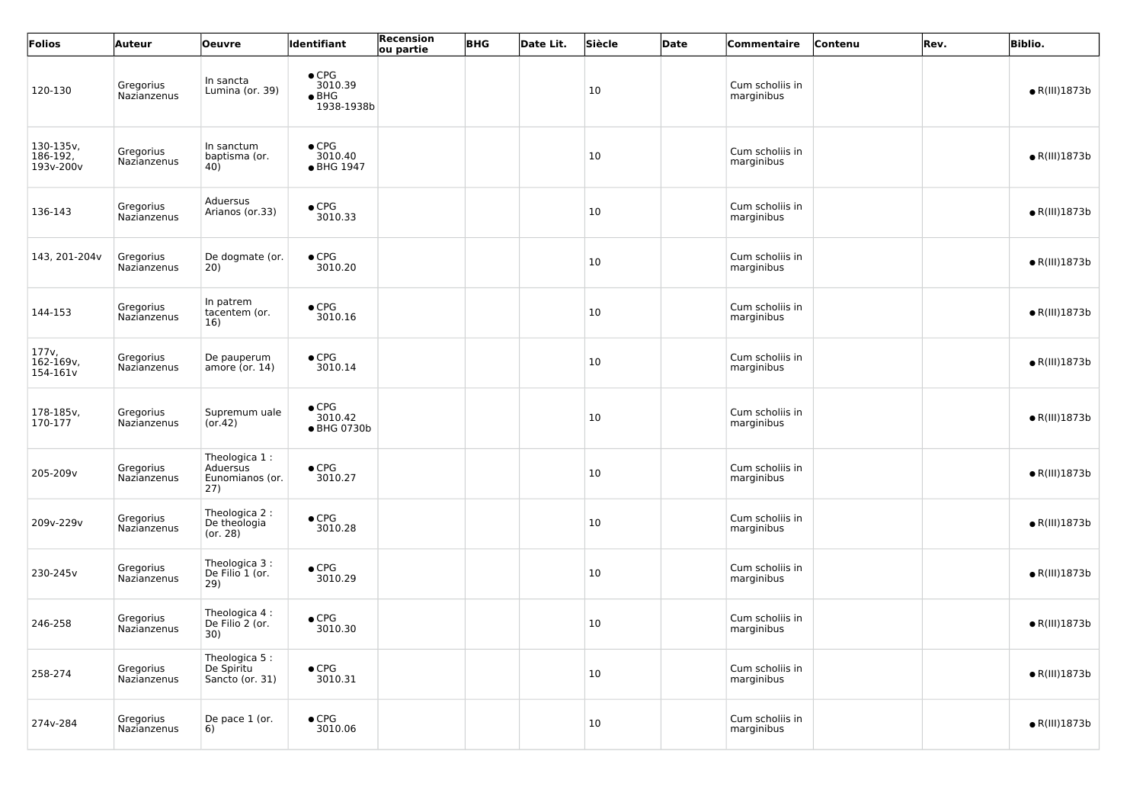| Folios                             | Auteur                   | <b>Oeuvre</b>                                       | <b>Identifiant</b>                                      | Recension<br>ou partie | <b>BHG</b> | Date Lit. | Siècle | Date | Commentaire                   | Contenu | Rev. | <b>Biblio.</b>        |
|------------------------------------|--------------------------|-----------------------------------------------------|---------------------------------------------------------|------------------------|------------|-----------|--------|------|-------------------------------|---------|------|-----------------------|
| 120-130                            | Gregorius<br>Nazianzenus | In sancta<br>Lumina (or. 39)                        | $\bullet$ CPG<br>3010.39<br>$\bullet$ BHG<br>1938-1938b |                        |            |           | 10     |      | Cum scholiis in<br>marginibus |         |      | $\bullet$ R(III)1873b |
| 130-135v,<br>186-192,<br>193v-200v | Gregorius<br>Nazianzenus | In sanctum<br>baptisma (or.<br>40)                  | $\bullet$ CPG<br>3010.40<br>• BHG 1947                  |                        |            |           | 10     |      | Cum scholiis in<br>marginibus |         |      | $\bullet$ R(III)1873b |
| 136-143                            | Gregorius<br>Nazianzenus | Aduersus<br>Arianos (or.33)                         | $\bullet$ CPG<br>3010.33                                |                        |            |           | 10     |      | Cum scholiis in<br>marginibus |         |      | $\bullet$ R(III)1873b |
| 143, 201-204v                      | Gregorius<br>Nazianzenus | De dogmate (or.<br>20)                              | $\bullet$ CPG<br>3010.20                                |                        |            |           | 10     |      | Cum scholiis in<br>marginibus |         |      | $\bullet$ R(III)1873b |
| 144-153                            | Gregorius<br>Nazianzenus | In patrem<br>tacentem (or.<br>16)                   | $\bullet$ CPG<br>3010.16                                |                        |            |           | 10     |      | Cum scholiis in<br>marginibus |         |      | $\bullet$ R(III)1873b |
| 177v,<br>162-169v,<br>154-161v     | Gregorius<br>Nazianzenus | De pauperum<br>amore (or. $14$ )                    | $\bullet$ CPG<br>3010.14                                |                        |            |           | 10     |      | Cum scholiis in<br>marginibus |         |      | $\bullet$ R(III)1873b |
| 178-185v,<br>170-177               | Gregorius<br>Nazianzenus | Supremum uale<br>(or.42)                            | $\bullet$ CPG<br>3010.42<br>● BHG 0730b                 |                        |            |           | 10     |      | Cum scholiis in<br>marginibus |         |      | $\bullet$ R(III)1873b |
| 205-209v                           | Gregorius<br>Nazianzenus | Theologica 1:<br>Aduersus<br>Eunomianos (or.<br>27) | $\bullet$ CPG<br>3010.27                                |                        |            |           | $10\,$ |      | Cum scholiis in<br>marginibus |         |      | $\bullet$ R(III)1873b |
| 209v-229v                          | Gregorius<br>Nazianzenus | Theologica 2 :<br>De theologia<br>(or. 28)          | $\bullet$ CPG<br>3010.28                                |                        |            |           | 10     |      | Cum scholiis in<br>marginibus |         |      | $\bullet$ R(III)1873b |
| 230-245v                           | Gregorius<br>Nazianzenus | Theologica 3:<br>De Filio 1 (or.<br>29)             | $\bullet$ CPG<br>3010.29                                |                        |            |           | 10     |      | Cum scholiis in<br>marginibus |         |      | $\bullet$ R(III)1873b |
| 246-258                            | Gregorius<br>Nazianzenus | Theologica 4 :<br>De Filio 2 (or.<br>30)            | $\bullet$ CPG<br>3010.30                                |                        |            |           | 10     |      | Cum scholiis in<br>marginibus |         |      | $\bullet$ R(III)1873b |
| 258-274                            | Gregorius<br>Nazianzenus | Theologica 5:<br>De Spiritu<br>Sancto (or. 31)      | $\bullet$ CPG<br>3010.31                                |                        |            |           | 10     |      | Cum scholiis in<br>marginibus |         |      | $\bullet$ R(III)1873b |
| 274v-284                           | Gregorius<br>Nazianzenus | De pace 1 (or.<br>6)                                | $\bullet$ CPG<br>3010.06                                |                        |            |           | 10     |      | Cum scholiis in<br>marginibus |         |      | $\bullet$ R(III)1873b |